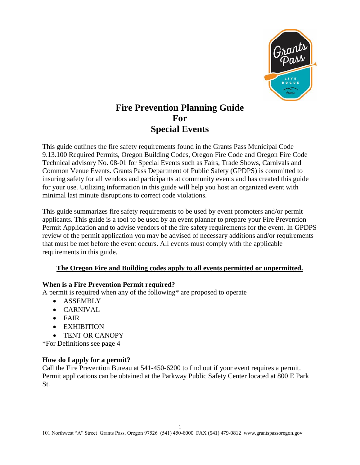

# **Fire Prevention Planning Guide For Special Events**

This guide outlines the fire safety requirements found in the Grants Pass Municipal Code 9.13.100 Required Permits, Oregon Building Codes, Oregon Fire Code and Oregon Fire Code Technical advisory No. 08-01 for Special Events such as Fairs, Trade Shows, Carnivals and Common Venue Events. Grants Pass Department of Public Safety (GPDPS) is committed to insuring safety for all vendors and participants at community events and has created this guide for your use. Utilizing information in this guide will help you host an organized event with minimal last minute disruptions to correct code violations.

This guide summarizes fire safety requirements to be used by event promoters and/or permit applicants. This guide is a tool to be used by an event planner to prepare your Fire Prevention Permit Application and to advise vendors of the fire safety requirements for the event. In GPDPS review of the permit application you may be advised of necessary additions and/or requirements that must be met before the event occurs. All events must comply with the applicable requirements in this guide.

# **The Oregon Fire and Building codes apply to all events permitted or unpermitted.**

#### **When is a Fire Prevention Permit required?**

A permit is required when any of the following\* are proposed to operate

- ASSEMBLY
- CARNIVAL
- FAIR
- EXHIBITION
- TENT OR CANOPY

\*For Definitions see page 4

#### **How do I apply for a permit?**

Call the Fire Prevention Bureau at 541-450-6200 to find out if your event requires a permit. Permit applications can be obtained at the Parkway Public Safety Center located at 800 E Park St.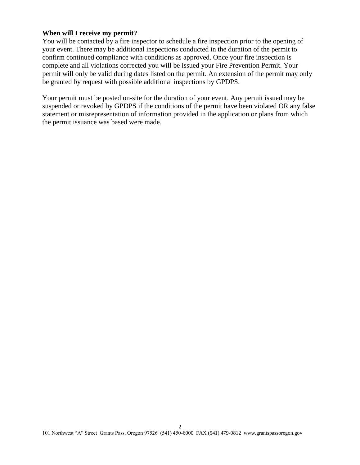#### **When will I receive my permit?**

You will be contacted by a fire inspector to schedule a fire inspection prior to the opening of your event. There may be additional inspections conducted in the duration of the permit to confirm continued compliance with conditions as approved. Once your fire inspection is complete and all violations corrected you will be issued your Fire Prevention Permit. Your permit will only be valid during dates listed on the permit. An extension of the permit may only be granted by request with possible additional inspections by GPDPS.

Your permit must be posted on-site for the duration of your event. Any permit issued may be suspended or revoked by GPDPS if the conditions of the permit have been violated OR any false statement or misrepresentation of information provided in the application or plans from which the permit issuance was based were made.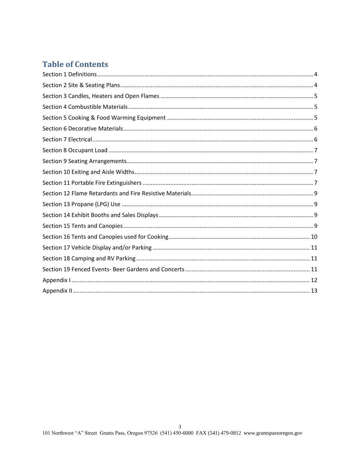# **Table of Contents**

<span id="page-2-0"></span>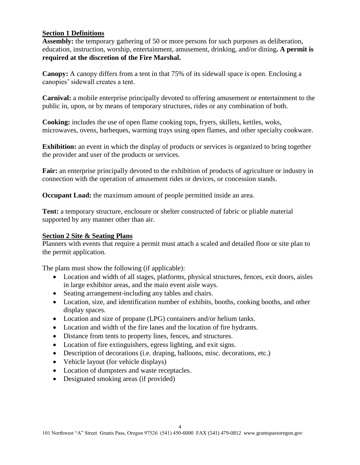#### **Section 1 Definitions**

**Assembly:** the temporary gathering of 50 or more persons for such purposes as deliberation, education, instruction, worship, entertainment, amusement, drinking, and/or dining**. A permit is required at the discretion of the Fire Marshal.** 

**Canopy:** A canopy differs from a tent in that 75% of its sidewall space is open. Enclosing a canopies' sidewall creates a tent.

**Carnival:** a mobile enterprise principally devoted to offering amusement or entertainment to the public in, upon, or by means of temporary structures, rides or any combination of both.

**Cooking:** includes the use of open flame cooking tops, fryers, skillets, kettles, woks, microwaves, ovens, barbeques, warming trays using open flames, and other specialty cookware.

**Exhibition:** an event in which the display of products or services is organized to bring together the provider and user of the products or services.

**Fair:** an enterprise principally devoted to the exhibition of products of agriculture or industry in connection with the operation of amusement rides or devices, or concession stands.

**Occupant Load:** the maximum amount of people permitted inside an area.

**Tent:** a temporary structure, enclosure or shelter constructed of fabric or pliable material supported by any manner other than air.

#### <span id="page-3-0"></span>**Section 2 Site & Seating Plans**

Planners with events that require a permit must attach a scaled and detailed floor or site plan to the permit application.

The plans must show the following (if applicable):

- Location and width of all stages, platforms, physical structures, fences, exit doors, aisles in large exhibitor areas, and the main event aisle ways.
- Seating arrangement-including any tables and chairs.
- Location, size, and identification number of exhibits, booths, cooking booths, and other display spaces.
- Location and size of propane (LPG) containers and/or helium tanks.
- Location and width of the fire lanes and the location of fire hydrants.
- Distance from tents to property lines, fences, and structures.
- Location of fire extinguishers, egress lighting, and exit signs.
- Description of decorations (i.e. draping, balloons, misc. decorations, etc.)
- Vehicle layout (for vehicle displays)
- Location of dumpsters and waste receptacles.
- Designated smoking areas (if provided)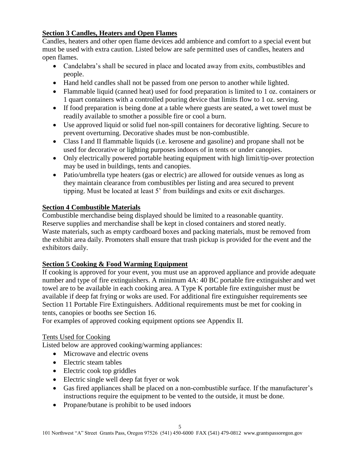## <span id="page-4-0"></span>**Section 3 Candles, Heaters and Open Flames**

Candles, heaters and other open flame devices add ambience and comfort to a special event but must be used with extra caution. Listed below are safe permitted uses of candles, heaters and open flames.

- Candelabra's shall be secured in place and located away from exits, combustibles and people.
- Hand held candles shall not be passed from one person to another while lighted.
- Flammable liquid (canned heat) used for food preparation is limited to 1 oz. containers or 1 quart containers with a controlled pouring device that limits flow to 1 oz. serving.
- If food preparation is being done at a table where guests are seated, a wet towel must be readily available to smother a possible fire or cool a burn.
- Use approved liquid or solid fuel non-spill containers for decorative lighting. Secure to prevent overturning. Decorative shades must be non-combustible.
- Class I and II flammable liquids (i.e. kerosene and gasoline) and propane shall not be used for decorative or lighting purposes indoors of in tents or under canopies.
- Only electrically powered portable heating equipment with high limit/tip-over protection may be used in buildings, tents and canopies.
- Patio/umbrella type heaters (gas or electric) are allowed for outside venues as long as they maintain clearance from combustibles per listing and area secured to prevent tipping. Must be located at least 5' from buildings and exits or exit discharges.

#### <span id="page-4-1"></span>**Section 4 Combustible Materials**

Combustible merchandise being displayed should be limited to a reasonable quantity. Reserve supplies and merchandise shall be kept in closed containers and stored neatly. Waste materials, such as empty cardboard boxes and packing materials, must be removed from the exhibit area daily. Promoters shall ensure that trash pickup is provided for the event and the exhibitors daily.

# <span id="page-4-2"></span>**Section 5 Cooking & Food Warming Equipment**

If cooking is approved for your event, you must use an approved appliance and provide adequate number and type of fire extinguishers. A minimum 4A: 40 BC portable fire extinguisher and wet towel are to be available in each cooking area. A Type K portable fire extinguisher must be available if deep fat frying or woks are used. For additional fire extinguisher requirements see Section 11 Portable Fire Extinguishers. Additional requirements must be met for cooking in tents, canopies or booths see Section 16.

For examples of approved cooking equipment options see Appendix II.

#### Tents Used for Cooking

Listed below are approved cooking/warming appliances:

- Microwave and electric ovens
- Electric steam tables
- Electric cook top griddles
- Electric single well deep fat fryer or wok
- Gas fired appliances shall be placed on a non-combustible surface. If the manufacturer's instructions require the equipment to be vented to the outside, it must be done.
- Propane/butane is prohibit to be used indoors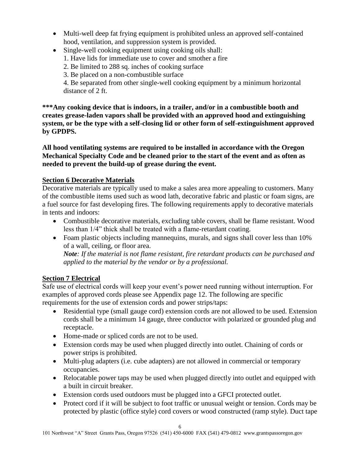- Multi-well deep fat frying equipment is prohibited unless an approved self-contained hood, ventilation, and suppression system is provided.
- Single-well cooking equipment using cooking oils shall:
	- 1. Have lids for immediate use to cover and smother a fire
	- 2. Be limited to 288 sq. inches of cooking surface
	- 3. Be placed on a non-combustible surface

4. Be separated from other single-well cooking equipment by a minimum horizontal distance of 2 ft.

**\*\*\*Any cooking device that is indoors, in a trailer, and/or in a combustible booth and creates grease-laden vapors shall be provided with an approved hood and extinguishing system, or be the type with a self-closing lid or other form of self-extinguishment approved by GPDPS.** 

**All hood ventilating systems are required to be installed in accordance with the Oregon Mechanical Specialty Code and be cleaned prior to the start of the event and as often as needed to prevent the build-up of grease during the event.** 

## <span id="page-5-0"></span>**Section 6 Decorative Materials**

Decorative materials are typically used to make a sales area more appealing to customers. Many of the combustible items used such as wood lath, decorative fabric and plastic or foam signs, are a fuel source for fast developing fires. The following requirements apply to decorative materials in tents and indoors:

- Combustible decorative materials, excluding table covers, shall be flame resistant. Wood less than 1/4" thick shall be treated with a flame-retardant coating.
- Foam plastic objects including mannequins, murals, and signs shall cover less than 10% of a wall, ceiling, or floor area.

*Note: If the material is not flame resistant, fire retardant products can be purchased and applied to the material by the vendor or by a professional.* 

# <span id="page-5-1"></span>**Section 7 Electrical**

Safe use of electrical cords will keep your event's power need running without interruption. For examples of approved cords please see Appendix page 12. The following are specific requirements for the use of extension cords and power strips/taps:

- Residential type (small gauge cord) extension cords are not allowed to be used. Extension cords shall be a minimum 14 gauge, three conductor with polarized or grounded plug and receptacle.
- Home-made or spliced cords are not to be used.
- Extension cords may be used when plugged directly into outlet. Chaining of cords or power strips is prohibited.
- Multi-plug adapters (i.e. cube adapters) are not allowed in commercial or temporary occupancies.
- Relocatable power taps may be used when plugged directly into outlet and equipped with a built in circuit breaker.
- Extension cords used outdoors must be plugged into a GFCI protected outlet.
- Protect cord if it will be subject to foot traffic or unusual weight or tension. Cords may be protected by plastic (office style) cord covers or wood constructed (ramp style). Duct tape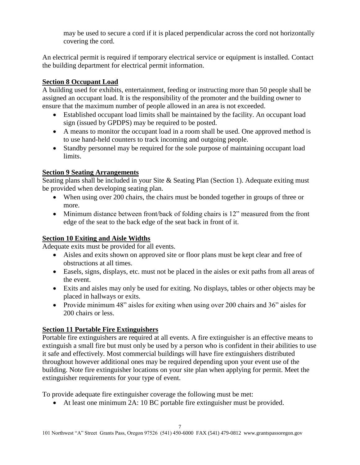may be used to secure a cord if it is placed perpendicular across the cord not horizontally covering the cord.

An electrical permit is required if temporary electrical service or equipment is installed. Contact the building department for electrical permit information.

## <span id="page-6-0"></span>**Section 8 Occupant Load**

A building used for exhibits, entertainment, feeding or instructing more than 50 people shall be assigned an occupant load. It is the responsibility of the promoter and the building owner to ensure that the maximum number of people allowed in an area is not exceeded.

- Established occupant load limits shall be maintained by the facility. An occupant load sign (issued by GPDPS) may be required to be posted.
- A means to monitor the occupant load in a room shall be used. One approved method is to use hand-held counters to track incoming and outgoing people.
- Standby personnel may be required for the sole purpose of maintaining occupant load limits.

## <span id="page-6-1"></span>**Section 9 Seating Arrangements**

Seating plans shall be included in your Site & Seating Plan (Section 1). Adequate exiting must be provided when developing seating plan.

- When using over 200 chairs, the chairs must be bonded together in groups of three or more.
- Minimum distance between front/back of folding chairs is 12" measured from the front edge of the seat to the back edge of the seat back in front of it.

#### <span id="page-6-2"></span>**Section 10 Exiting and Aisle Widths**

Adequate exits must be provided for all events.

- Aisles and exits shown on approved site or floor plans must be kept clear and free of obstructions at all times.
- Easels, signs, displays, etc. must not be placed in the aisles or exit paths from all areas of the event.
- Exits and aisles may only be used for exiting. No displays, tables or other objects may be placed in hallways or exits.
- Provide minimum 48" aisles for exiting when using over 200 chairs and 36" aisles for 200 chairs or less.

# <span id="page-6-3"></span>**Section 11 Portable Fire Extinguishers**

Portable fire extinguishers are required at all events. A fire extinguisher is an effective means to extinguish a small fire but must only be used by a person who is confident in their abilities to use it safe and effectively. Most commercial buildings will have fire extinguishers distributed throughout however additional ones may be required depending upon your event use of the building. Note fire extinguisher locations on your site plan when applying for permit. Meet the extinguisher requirements for your type of event.

To provide adequate fire extinguisher coverage the following must be met:

At least one minimum 2A: 10 BC portable fire extinguisher must be provided.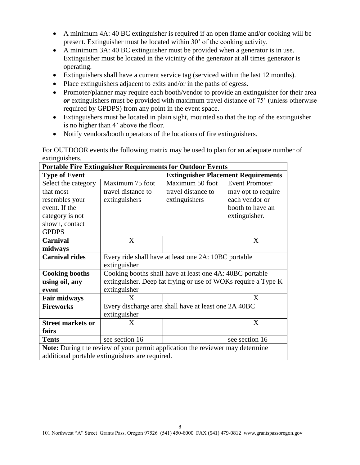- A minimum 4A: 40 BC extinguisher is required if an open flame and/or cooking will be present. Extinguisher must be located within 30' of the cooking activity.
- A minimum 3A: 40 BC extinguisher must be provided when a generator is in use. Extinguisher must be located in the vicinity of the generator at all times generator is operating.
- Extinguishers shall have a current service tag (serviced within the last 12 months).
- Place extinguishers adjacent to exits and/or in the paths of egress.
- Promoter/planner may require each booth/vendor to provide an extinguisher for their area *or* extinguishers must be provided with maximum travel distance of 75' (unless otherwise required by GPDPS) from any point in the event space.
- Extinguishers must be located in plain sight, mounted so that the top of the extinguisher is no higher than 4' above the floor.
- Notify vendors/booth operators of the locations of fire extinguishers.

For OUTDOOR events the following matrix may be used to plan for an adequate number of extinguishers.

| <b>Portable Fire Extinguisher Requirements for Outdoor Events</b>             |                                                               |                                            |                       |  |
|-------------------------------------------------------------------------------|---------------------------------------------------------------|--------------------------------------------|-----------------------|--|
| <b>Type of Event</b>                                                          |                                                               | <b>Extinguisher Placement Requirements</b> |                       |  |
| Select the category                                                           | Maximum 75 foot                                               | Maximum 50 foot                            | <b>Event Promoter</b> |  |
| that most                                                                     | travel distance to                                            | travel distance to                         | may opt to require    |  |
| resembles your                                                                | extinguishers                                                 | extinguishers                              | each vendor or        |  |
| event. If the                                                                 |                                                               |                                            | booth to have an      |  |
| category is not                                                               |                                                               |                                            | extinguisher.         |  |
| shown, contact                                                                |                                                               |                                            |                       |  |
| <b>GPDPS</b>                                                                  |                                                               |                                            |                       |  |
| <b>Carnival</b>                                                               | X                                                             |                                            | X                     |  |
| midways                                                                       |                                                               |                                            |                       |  |
| <b>Carnival rides</b>                                                         | Every ride shall have at least one 2A: 10BC portable          |                                            |                       |  |
|                                                                               | extinguisher                                                  |                                            |                       |  |
| <b>Cooking booths</b>                                                         | Cooking booths shall have at least one 4A: 40BC portable      |                                            |                       |  |
| using oil, any                                                                | extinguisher. Deep fat frying or use of WOKs require a Type K |                                            |                       |  |
| event                                                                         | extinguisher                                                  |                                            |                       |  |
| <b>Fair midways</b>                                                           | X                                                             |                                            | X                     |  |
| <b>Fireworks</b>                                                              | Every discharge area shall have at least one 2A 40BC          |                                            |                       |  |
|                                                                               | extinguisher                                                  |                                            |                       |  |
| <b>Street markets or</b>                                                      | $\mathbf{X}$                                                  |                                            | X                     |  |
| fairs                                                                         |                                                               |                                            |                       |  |
| <b>Tents</b>                                                                  | see section 16                                                |                                            | see section 16        |  |
| Note: During the review of your permit application the reviewer may determine |                                                               |                                            |                       |  |
|                                                                               | additional portable extinguishers are required.               |                                            |                       |  |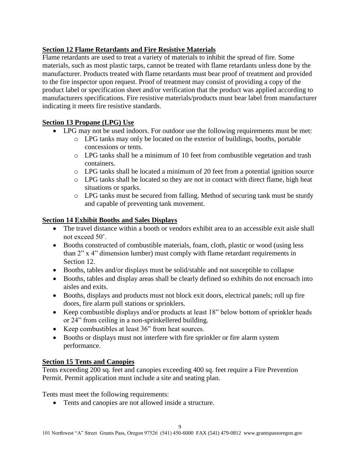# <span id="page-8-0"></span>**Section 12 Flame Retardants and Fire Resistive Materials**

Flame retardants are used to treat a variety of materials to inhibit the spread of fire. Some materials, such as most plastic tarps, cannot be treated with flame retardants unless done by the manufacturer. Products treated with flame retardants must bear proof of treatment and provided to the fire inspector upon request. Proof of treatment may consist of providing a copy of the product label or specification sheet and/or verification that the product was applied according to manufacturers specifications. Fire resistive materials/products must bear label from manufacturer indicating it meets fire resistive standards.

# <span id="page-8-1"></span>**Section 13 Propane (LPG) Use**

- LPG may not be used indoors. For outdoor use the following requirements must be met:
	- o LPG tanks may only be located on the exterior of buildings, booths, portable concessions or tents.
	- o LPG tanks shall be a minimum of 10 feet from combustible vegetation and trash containers.
	- o LPG tanks shall be located a minimum of 20 feet from a potential ignition source
	- o LPG tanks shall be located so they are not in contact with direct flame, high heat situations or sparks.
	- o LPG tanks must be secured from falling. Method of securing tank must be sturdy and capable of preventing tank movement.

# <span id="page-8-2"></span>**Section 14 Exhibit Booths and Sales Displays**

- The travel distance within a booth or vendors exhibit area to an accessible exit aisle shall not exceed 50'.
- Booths constructed of combustible materials, foam, cloth, plastic or wood (using less than 2" x 4" dimension lumber) must comply with flame retardant requirements in Section 12.
- Booths, tables and/or displays must be solid/stable and not susceptible to collapse
- Booths, tables and display areas shall be clearly defined so exhibits do not encroach into aisles and exits.
- Booths, displays and products must not block exit doors, electrical panels; roll up fire doors, fire alarm pull stations or sprinklers.
- Keep combustible displays and/or products at least 18" below bottom of sprinkler heads or 24" from ceiling in a non-sprinkellered building.
- Keep combustibles at least 36" from heat sources.
- Booths or displays must not interfere with fire sprinkler or fire alarm system performance.

# <span id="page-8-3"></span>**Section 15 Tents and Canopies**

Tents exceeding 200 sq. feet and canopies exceeding 400 sq. feet require a Fire Prevention Permit. Permit application must include a site and seating plan.

Tents must meet the following requirements:

• Tents and canopies are not allowed inside a structure.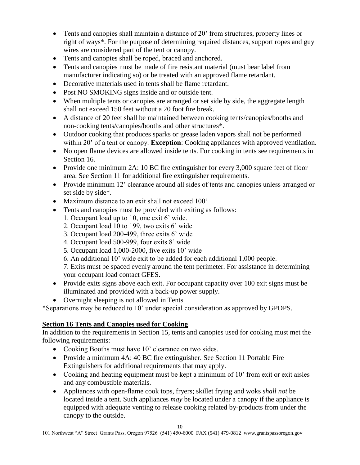- Tents and canopies shall maintain a distance of 20' from structures, property lines or right of ways\*. For the purpose of determining required distances, support ropes and guy wires are considered part of the tent or canopy.
- Tents and canopies shall be roped, braced and anchored.
- Tents and canopies must be made of fire resistant material (must bear label from manufacturer indicating so) or be treated with an approved flame retardant.
- Decorative materials used in tents shall be flame retardant.
- Post NO SMOKING signs inside and or outside tent.
- When multiple tents or canopies are arranged or set side by side, the aggregate length shall not exceed 150 feet without a 20 foot fire break.
- A distance of 20 feet shall be maintained between cooking tents/canopies/booths and non-cooking tents/canopies/booths and other structures\*.
- Outdoor cooking that produces sparks or grease laden vapors shall not be performed within 20' of a tent or canopy. **Exception**: Cooking appliances with approved ventilation.
- No open flame devices are allowed inside tents. For cooking in tents see requirements in Section 16.
- Provide one minimum 2A: 10 BC fire extinguisher for every 3,000 square feet of floor area. See Section 11 for additional fire extinguisher requirements.
- Provide minimum 12' clearance around all sides of tents and canopies unless arranged or set side by side\*.
- Maximum distance to an exit shall not exceed 100°
- Tents and canopies must be provided with exiting as follows:
	- 1. Occupant load up to 10, one exit 6' wide.
	- 2. Occupant load 10 to 199, two exits 6' wide
	- 3. Occupant load 200-499, three exits 6' wide
	- 4. Occupant load 500-999, four exits 8' wide
	- 5. Occupant load 1,000-2000, five exits 10' wide
	- 6. An additional 10' wide exit to be added for each additional 1,000 people.

7. Exits must be spaced evenly around the tent perimeter. For assistance in determining your occupant load contact GFES.

- Provide exits signs above each exit. For occupant capacity over 100 exit signs must be illuminated and provided with a back-up power supply.
- Overnight sleeping is not allowed in Tents

\*Separations may be reduced to 10' under special consideration as approved by GPDPS.

#### <span id="page-9-0"></span>**Section 16 Tents and Canopies used for Cooking**

In addition to the requirements in Section 15, tents and canopies used for cooking must met the following requirements:

- Cooking Booths must have 10' clearance on two sides.
- Provide a minimum 4A: 40 BC fire extinguisher. See Section 11 Portable Fire Extinguishers for additional requirements that may apply.
- Cooking and heating equipment must be kept a minimum of 10' from exit or exit aisles and any combustible materials.
- Appliances with open-flame cook tops, fryers; skillet frying and woks *shall not* be located inside a tent. Such appliances *may* be located under a canopy if the appliance is equipped with adequate venting to release cooking related by-products from under the canopy to the outside.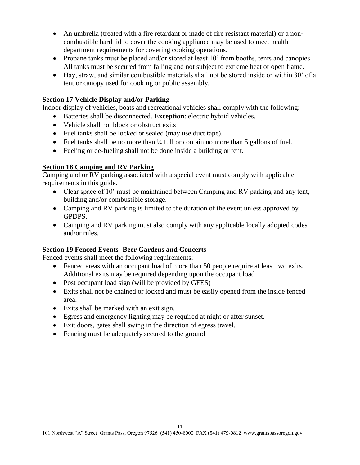- An umbrella (treated with a fire retardant or made of fire resistant material) or a noncombustible hard lid to cover the cooking appliance may be used to meet health department requirements for covering cooking operations.
- Propane tanks must be placed and/or stored at least 10' from booths, tents and canopies. All tanks must be secured from falling and not subject to extreme heat or open flame.
- Hay, straw, and similar combustible materials shall not be stored inside or within 30' of a tent or canopy used for cooking or public assembly.

#### <span id="page-10-0"></span>**Section 17 Vehicle Display and/or Parking**

Indoor display of vehicles, boats and recreational vehicles shall comply with the following:

- Batteries shall be disconnected. **Exception**: electric hybrid vehicles.
- Vehicle shall not block or obstruct exits
- Fuel tanks shall be locked or sealed (may use duct tape).
- Fuel tanks shall be no more than  $\frac{1}{4}$  full or contain no more than 5 gallons of fuel.
- Fueling or de-fueling shall not be done inside a building or tent.

## <span id="page-10-1"></span>**Section 18 Camping and RV Parking**

Camping and or RV parking associated with a special event must comply with applicable requirements in this guide.

- Clear space of 10' must be maintained between Camping and RV parking and any tent, building and/or combustible storage.
- Camping and RV parking is limited to the duration of the event unless approved by GPDPS.
- Camping and RV parking must also comply with any applicable locally adopted codes and/or rules.

#### <span id="page-10-2"></span>**Section 19 Fenced Events- Beer Gardens and Concerts**

Fenced events shall meet the following requirements:

- Fenced areas with an occupant load of more than 50 people require at least two exits. Additional exits may be required depending upon the occupant load
- Post occupant load sign (will be provided by GFES)
- Exits shall not be chained or locked and must be easily opened from the inside fenced area.
- Exits shall be marked with an exit sign.
- Egress and emergency lighting may be required at night or after sunset.
- Exit doors, gates shall swing in the direction of egress travel.
- Fencing must be adequately secured to the ground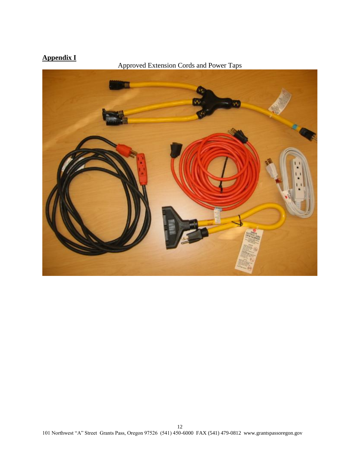# <span id="page-11-0"></span>**Appendix I**